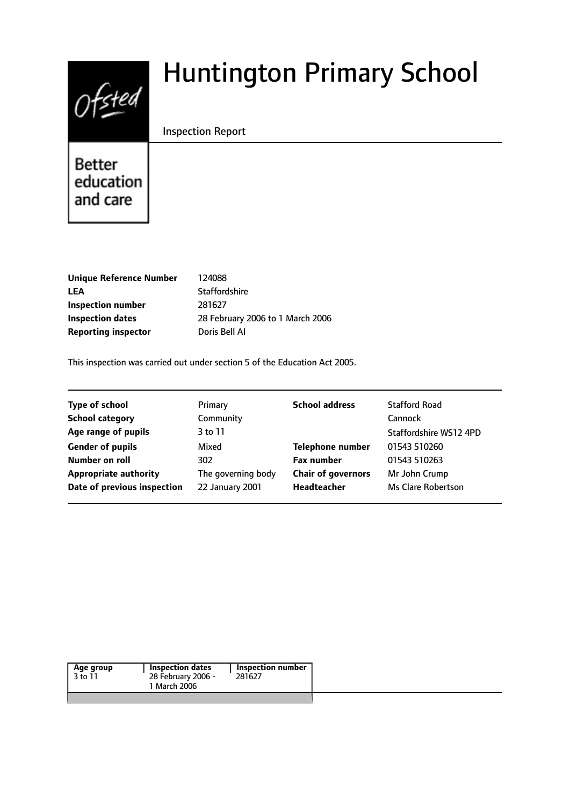# $0$ fsted

# Huntington Primary School

#### Inspection Report

# **Better** education and care

| <b>Unique Reference Number</b> | 124088  |
|--------------------------------|---------|
| <b>LEA</b>                     | Staffor |
| Inspection number              | 281627  |
| <b>Inspection dates</b>        | 28 Febr |
| <b>Reporting inspector</b>     | Doris B |
|                                |         |

ffordshire February 2006 to 1 March 2006 **Reporting inspector** Doris Bell AI

This inspection was carried out under section 5 of the Education Act 2005.

| <b>Type of school</b>        | Primary            | <b>School address</b>     | <b>Stafford Road</b>   |
|------------------------------|--------------------|---------------------------|------------------------|
| <b>School category</b>       | Community          |                           | Cannock                |
| Age range of pupils          | 3 to 11            |                           | Staffordshire WS12 4PD |
| <b>Gender of pupils</b>      | Mixed              | <b>Telephone number</b>   | 01543 510260           |
| Number on roll               | 302                | <b>Fax number</b>         | 01543 510263           |
| <b>Appropriate authority</b> | The governing body | <b>Chair of governors</b> | Mr John Crump          |
| Date of previous inspection  | 22 January 2001    | Headteacher               | Ms Clare Robertson     |
|                              |                    |                           |                        |

| Age group<br>3 to 11 | <b>Inspection dates</b><br>28 February 2006 -<br>1 March 2006 | <b>Inspection number</b><br>281627 |  |
|----------------------|---------------------------------------------------------------|------------------------------------|--|
|                      |                                                               |                                    |  |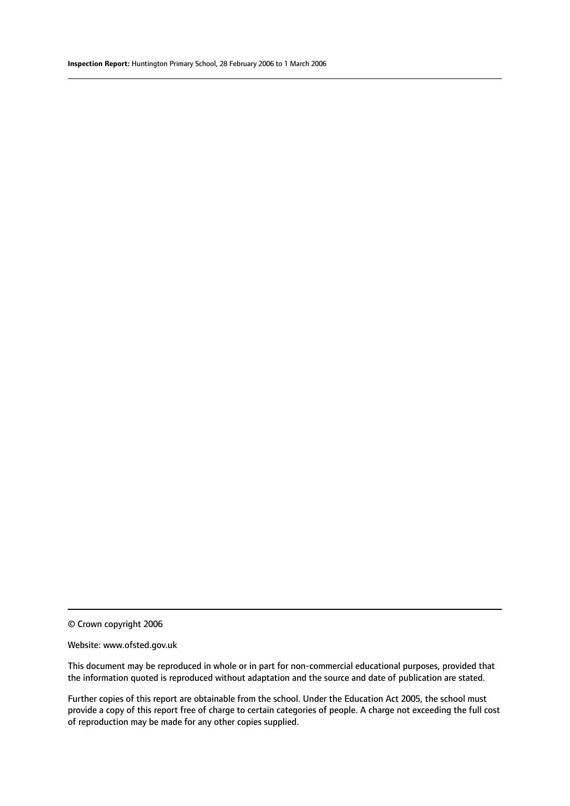© Crown copyright 2006

#### Website: www.ofsted.gov.uk

This document may be reproduced in whole or in part for non-commercial educational purposes, provided that the information quoted is reproduced without adaptation and the source and date of publication are stated.

Further copies of this report are obtainable from the school. Under the Education Act 2005, the school must provide a copy of this report free of charge to certain categories of people. A charge not exceeding the full cost of reproduction may be made for any other copies supplied.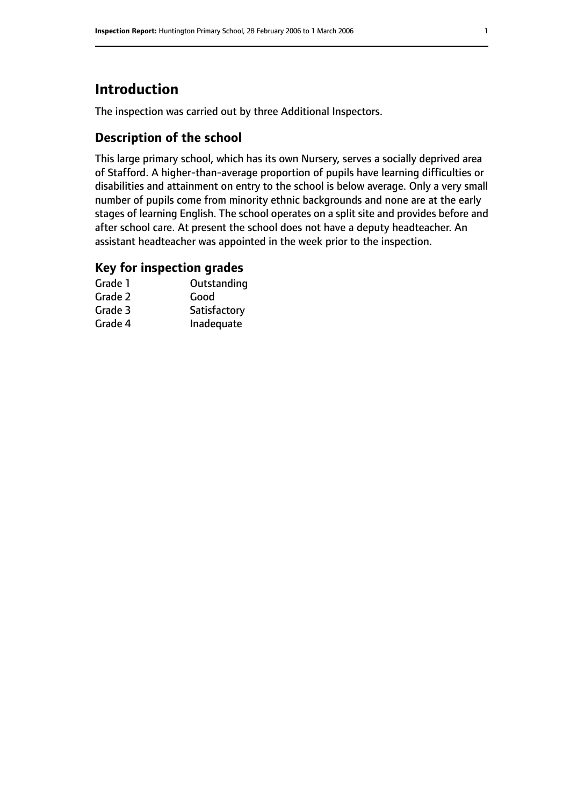# **Introduction**

The inspection was carried out by three Additional Inspectors.

#### **Description of the school**

This large primary school, which has its own Nursery, serves a socially deprived area of Stafford. A higher-than-average proportion of pupils have learning difficulties or disabilities and attainment on entry to the school is below average. Only a very small number of pupils come from minority ethnic backgrounds and none are at the early stages of learning English. The school operates on a split site and provides before and after school care. At present the school does not have a deputy headteacher. An assistant headteacher was appointed in the week prior to the inspection.

#### **Key for inspection grades**

| Grade 1 | Outstanding  |
|---------|--------------|
| Grade 2 | Good         |
| Grade 3 | Satisfactory |
| Grade 4 | Inadequate   |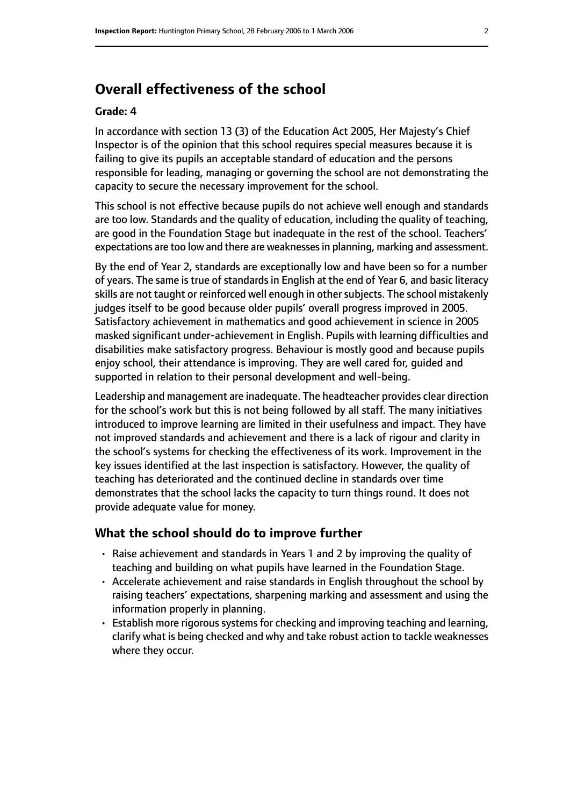### **Overall effectiveness of the school**

#### **Grade: 4**

In accordance with section 13 (3) of the Education Act 2005, Her Majesty's Chief Inspector is of the opinion that this school requires special measures because it is failing to give its pupils an acceptable standard of education and the persons responsible for leading, managing or governing the school are not demonstrating the capacity to secure the necessary improvement for the school.

This school is not effective because pupils do not achieve well enough and standards are too low. Standards and the quality of education, including the quality of teaching, are good in the Foundation Stage but inadequate in the rest of the school. Teachers' expectations are too low and there are weaknessesin planning, marking and assessment.

By the end of Year 2, standards are exceptionally low and have been so for a number of years. The same is true of standards in English at the end of Year 6, and basic literacy skills are not taught or reinforced well enough in other subjects. The school mistakenly judges itself to be good because older pupils' overall progress improved in 2005. Satisfactory achievement in mathematics and good achievement in science in 2005 masked significant under-achievement in English. Pupils with learning difficulties and disabilities make satisfactory progress. Behaviour is mostly good and because pupils enjoy school, their attendance is improving. They are well cared for, guided and supported in relation to their personal development and well-being.

Leadership and management are inadequate. The headteacher provides clear direction for the school's work but this is not being followed by all staff. The many initiatives introduced to improve learning are limited in their usefulness and impact. They have not improved standards and achievement and there is a lack of rigour and clarity in the school's systems for checking the effectiveness of its work. Improvement in the key issues identified at the last inspection is satisfactory. However, the quality of teaching has deteriorated and the continued decline in standards over time demonstrates that the school lacks the capacity to turn things round. It does not provide adequate value for money.

#### **What the school should do to improve further**

- Raise achievement and standards in Years 1 and 2 by improving the quality of teaching and building on what pupils have learned in the Foundation Stage.
- Accelerate achievement and raise standards in English throughout the school by raising teachers' expectations, sharpening marking and assessment and using the information properly in planning.
- Establish more rigorous systems for checking and improving teaching and learning, clarify what is being checked and why and take robust action to tackle weaknesses where they occur.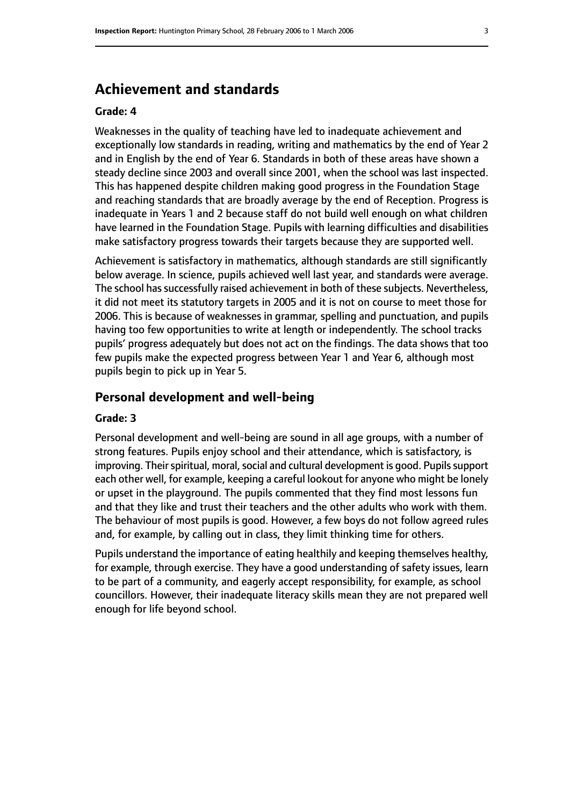#### **Achievement and standards**

#### **Grade: 4**

Weaknesses in the quality of teaching have led to inadequate achievement and exceptionally low standards in reading, writing and mathematics by the end of Year 2 and in English by the end of Year 6. Standards in both of these areas have shown a steady decline since 2003 and overall since 2001, when the school was last inspected. This has happened despite children making good progress in the Foundation Stage and reaching standards that are broadly average by the end of Reception. Progress is inadequate in Years 1 and 2 because staff do not build well enough on what children have learned in the Foundation Stage. Pupils with learning difficulties and disabilities make satisfactory progress towards their targets because they are supported well.

Achievement is satisfactory in mathematics, although standards are still significantly below average. In science, pupils achieved well last year, and standards were average. The school has successfully raised achievement in both of these subjects. Nevertheless, it did not meet its statutory targets in 2005 and it is not on course to meet those for 2006. This is because of weaknesses in grammar, spelling and punctuation, and pupils having too few opportunities to write at length or independently. The school tracks pupils' progress adequately but does not act on the findings. The data shows that too few pupils make the expected progress between Year 1 and Year 6, although most pupils begin to pick up in Year 5.

#### **Personal development and well-being**

#### **Grade: 3**

Personal development and well-being are sound in all age groups, with a number of strong features. Pupils enjoy school and their attendance, which is satisfactory, is improving. Their spiritual, moral, social and cultural development is good. Pupils support each other well, for example, keeping a careful lookout for anyone who might be lonely or upset in the playground. The pupils commented that they find most lessons fun and that they like and trust their teachers and the other adults who work with them. The behaviour of most pupils is good. However, a few boys do not follow agreed rules and, for example, by calling out in class, they limit thinking time for others.

Pupils understand the importance of eating healthily and keeping themselves healthy, for example, through exercise. They have a good understanding of safety issues, learn to be part of a community, and eagerly accept responsibility, for example, as school councillors. However, their inadequate literacy skills mean they are not prepared well enough for life beyond school.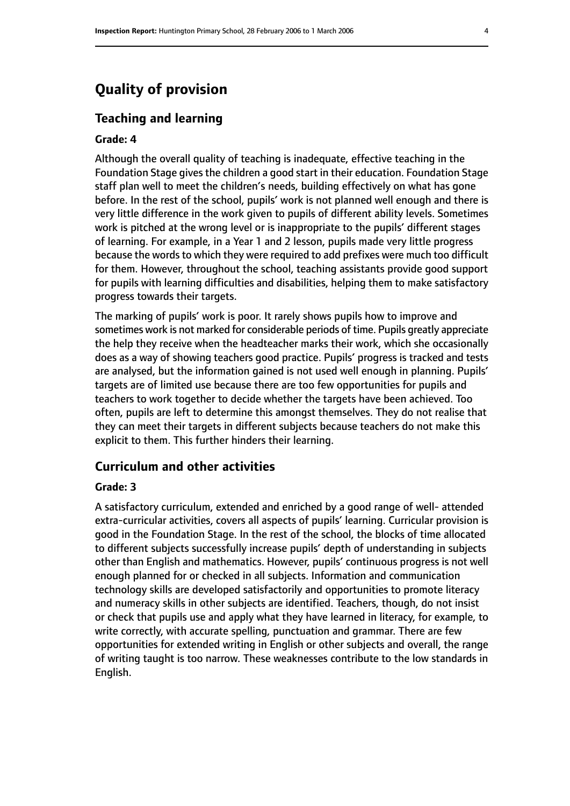## **Quality of provision**

#### **Teaching and learning**

#### **Grade: 4**

Although the overall quality of teaching is inadequate, effective teaching in the Foundation Stage gives the children a good start in their education. Foundation Stage staff plan well to meet the children's needs, building effectively on what has gone before. In the rest of the school, pupils' work is not planned well enough and there is very little difference in the work given to pupils of different ability levels. Sometimes work is pitched at the wrong level or is inappropriate to the pupils' different stages of learning. For example, in a Year 1 and 2 lesson, pupils made very little progress because the words to which they were required to add prefixes were much too difficult for them. However, throughout the school, teaching assistants provide good support for pupils with learning difficulties and disabilities, helping them to make satisfactory progress towards their targets.

The marking of pupils' work is poor. It rarely shows pupils how to improve and sometimes work is not marked for considerable periods of time. Pupils greatly appreciate the help they receive when the headteacher marks their work, which she occasionally does as a way of showing teachers good practice. Pupils' progress is tracked and tests are analysed, but the information gained is not used well enough in planning. Pupils' targets are of limited use because there are too few opportunities for pupils and teachers to work together to decide whether the targets have been achieved. Too often, pupils are left to determine this amongst themselves. They do not realise that they can meet their targets in different subjects because teachers do not make this explicit to them. This further hinders their learning.

#### **Curriculum and other activities**

#### **Grade: 3**

A satisfactory curriculum, extended and enriched by a good range of well- attended extra-curricular activities, covers all aspects of pupils' learning. Curricular provision is good in the Foundation Stage. In the rest of the school, the blocks of time allocated to different subjects successfully increase pupils' depth of understanding in subjects other than English and mathematics. However, pupils' continuous progress is not well enough planned for or checked in all subjects. Information and communication technology skills are developed satisfactorily and opportunities to promote literacy and numeracy skills in other subjects are identified. Teachers, though, do not insist or check that pupils use and apply what they have learned in literacy, for example, to write correctly, with accurate spelling, punctuation and grammar. There are few opportunities for extended writing in English or other subjects and overall, the range of writing taught is too narrow. These weaknesses contribute to the low standards in English.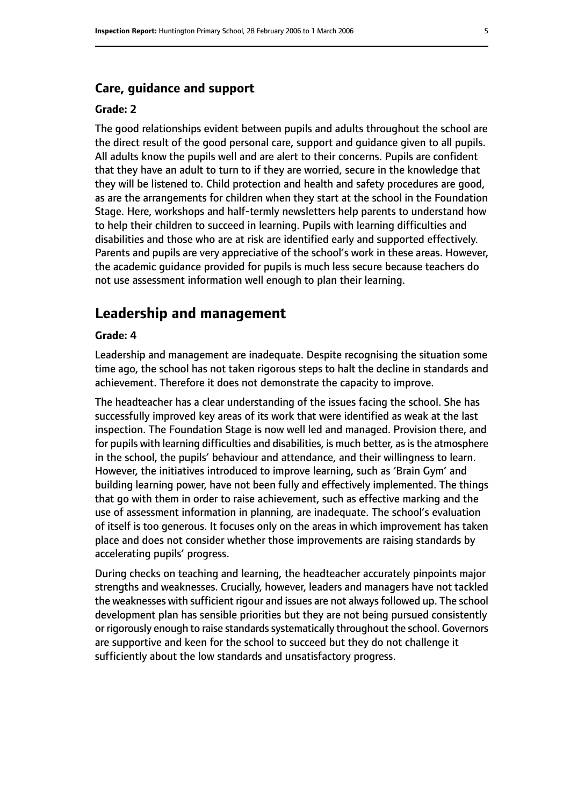#### **Care, guidance and support**

#### **Grade: 2**

The good relationships evident between pupils and adults throughout the school are the direct result of the good personal care, support and guidance given to all pupils. All adults know the pupils well and are alert to their concerns. Pupils are confident that they have an adult to turn to if they are worried, secure in the knowledge that they will be listened to. Child protection and health and safety procedures are good, as are the arrangements for children when they start at the school in the Foundation Stage. Here, workshops and half-termly newsletters help parents to understand how to help their children to succeed in learning. Pupils with learning difficulties and disabilities and those who are at risk are identified early and supported effectively. Parents and pupils are very appreciative of the school's work in these areas. However, the academic guidance provided for pupils is much less secure because teachers do not use assessment information well enough to plan their learning.

#### **Leadership and management**

#### **Grade: 4**

Leadership and management are inadequate. Despite recognising the situation some time ago, the school has not taken rigorous steps to halt the decline in standards and achievement. Therefore it does not demonstrate the capacity to improve.

The headteacher has a clear understanding of the issues facing the school. She has successfully improved key areas of its work that were identified as weak at the last inspection. The Foundation Stage is now well led and managed. Provision there, and for pupils with learning difficulties and disabilities, is much better, as is the atmosphere in the school, the pupils' behaviour and attendance, and their willingness to learn. However, the initiatives introduced to improve learning, such as 'Brain Gym' and building learning power, have not been fully and effectively implemented. The things that go with them in order to raise achievement, such as effective marking and the use of assessment information in planning, are inadequate. The school's evaluation of itself is too generous. It focuses only on the areas in which improvement has taken place and does not consider whether those improvements are raising standards by accelerating pupils' progress.

During checks on teaching and learning, the headteacher accurately pinpoints major strengths and weaknesses. Crucially, however, leaders and managers have not tackled the weaknesses with sufficient rigour and issues are not always followed up. The school development plan has sensible priorities but they are not being pursued consistently or rigorously enough to raise standards systematically throughout the school. Governors are supportive and keen for the school to succeed but they do not challenge it sufficiently about the low standards and unsatisfactory progress.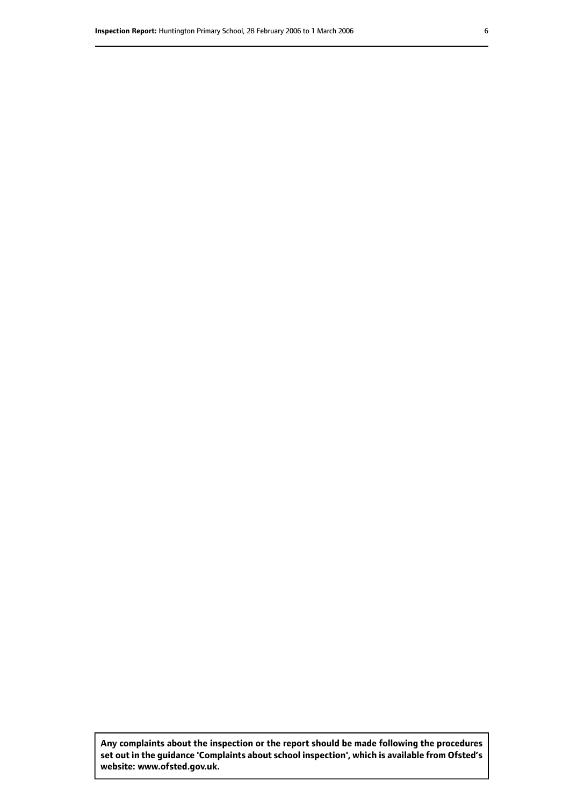**Any complaints about the inspection or the report should be made following the procedures set out inthe guidance 'Complaints about school inspection', whichis available from Ofsted's website: www.ofsted.gov.uk.**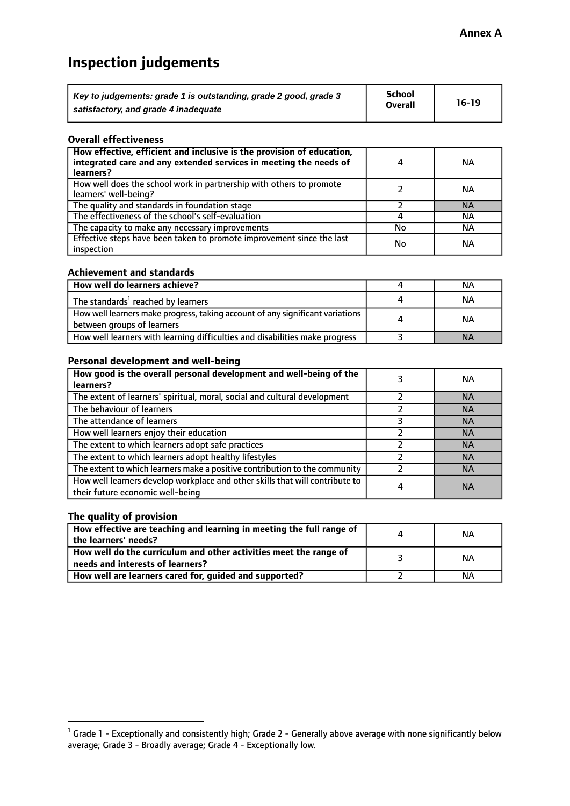# **Inspection judgements**

| Key to judgements: grade 1 is outstanding, grade 2 good, grade 3 | School         | $16-19$ |
|------------------------------------------------------------------|----------------|---------|
| satisfactory, and grade 4 inadequate                             | <b>Overall</b> |         |

#### **Overall effectiveness**

| How effective, efficient and inclusive is the provision of education,<br>integrated care and any extended services in meeting the needs of<br>learners? |    | <b>NA</b> |
|---------------------------------------------------------------------------------------------------------------------------------------------------------|----|-----------|
| How well does the school work in partnership with others to promote<br>learners' well-being?                                                            |    | ΝA        |
| The quality and standards in foundation stage                                                                                                           |    | <b>NA</b> |
| The effectiveness of the school's self-evaluation                                                                                                       |    | ΝA        |
| The capacity to make any necessary improvements                                                                                                         | No | NА        |
| Effective steps have been taken to promote improvement since the last<br>inspection                                                                     | No | <b>NA</b> |

#### **Achievement and standards**

| How well do learners achieve?                                                                               | NА        |
|-------------------------------------------------------------------------------------------------------------|-----------|
| The standards <sup>1</sup> reached by learners                                                              | ΝA        |
| How well learners make progress, taking account of any significant variations<br>between groups of learners | <b>NA</b> |
| How well learners with learning difficulties and disabilities make progress                                 | <b>NA</b> |

#### **Personal development and well-being**

| How good is the overall personal development and well-being of the<br>learners?                                  |   | ΝA        |
|------------------------------------------------------------------------------------------------------------------|---|-----------|
| The extent of learners' spiritual, moral, social and cultural development                                        |   | <b>NA</b> |
| The behaviour of learners                                                                                        |   | <b>NA</b> |
| The attendance of learners                                                                                       |   | <b>NA</b> |
| How well learners enjoy their education                                                                          |   | <b>NA</b> |
| The extent to which learners adopt safe practices                                                                |   | <b>NA</b> |
| The extent to which learners adopt healthy lifestyles                                                            |   | <b>NA</b> |
| The extent to which learners make a positive contribution to the community                                       |   | <b>NA</b> |
| How well learners develop workplace and other skills that will contribute to<br>their future economic well-being | 4 | <b>NA</b> |

#### **The quality of provision**

| How effective are teaching and learning in meeting the full range of<br>the learners' needs?          | ΝA |
|-------------------------------------------------------------------------------------------------------|----|
| How well do the curriculum and other activities meet the range of<br>needs and interests of learners? | ΝA |
| How well are learners cared for, guided and supported?                                                | ΝA |

 $^1$  Grade 1 - Exceptionally and consistently high; Grade 2 - Generally above average with none significantly below average; Grade 3 - Broadly average; Grade 4 - Exceptionally low.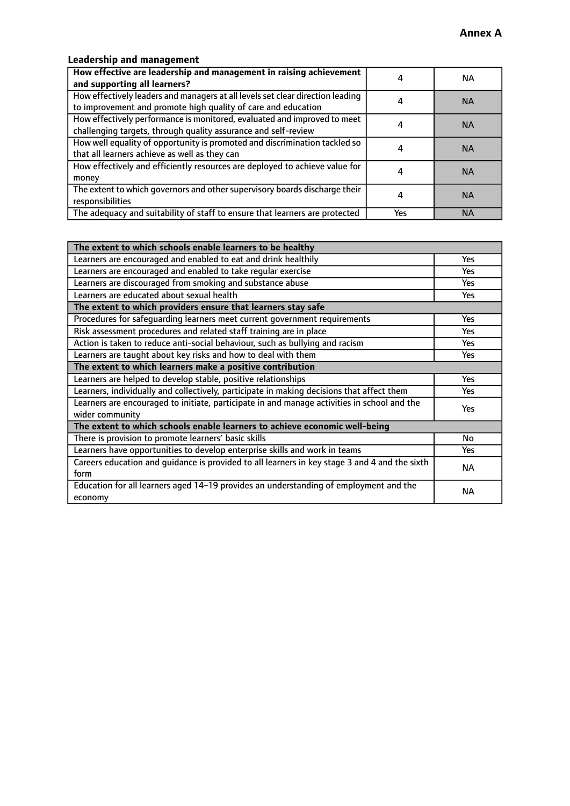#### **Leadership and management**

| How effective are leadership and management in raising achievement<br>and supporting all learners?                                              |     | NA.       |
|-------------------------------------------------------------------------------------------------------------------------------------------------|-----|-----------|
| How effectively leaders and managers at all levels set clear direction leading<br>to improvement and promote high quality of care and education |     | <b>NA</b> |
| How effectively performance is monitored, evaluated and improved to meet<br>challenging targets, through quality assurance and self-review      |     | <b>NA</b> |
| How well equality of opportunity is promoted and discrimination tackled so<br>that all learners achieve as well as they can                     |     | <b>NA</b> |
| How effectively and efficiently resources are deployed to achieve value for<br>money                                                            |     | <b>NA</b> |
| The extent to which governors and other supervisory boards discharge their<br>responsibilities                                                  |     | <b>NA</b> |
| The adequacy and suitability of staff to ensure that learners are protected                                                                     | Yes | <b>NA</b> |

| The extent to which schools enable learners to be healthy                                     |            |
|-----------------------------------------------------------------------------------------------|------------|
| Learners are encouraged and enabled to eat and drink healthily                                | Yes        |
| Learners are encouraged and enabled to take regular exercise                                  | <b>Yes</b> |
| Learners are discouraged from smoking and substance abuse                                     | Yes        |
| Learners are educated about sexual health                                                     | Yes        |
| The extent to which providers ensure that learners stay safe                                  |            |
| Procedures for safequarding learners meet current government requirements                     | Yes        |
| Risk assessment procedures and related staff training are in place                            | Yes        |
| Action is taken to reduce anti-social behaviour, such as bullying and racism                  | <b>Yes</b> |
| Learners are taught about key risks and how to deal with them                                 | Yes        |
| The extent to which learners make a positive contribution                                     |            |
| Learners are helped to develop stable, positive relationships                                 | Yes        |
| Learners, individually and collectively, participate in making decisions that affect them     | Yes        |
| Learners are encouraged to initiate, participate in and manage activities in school and the   | <b>Yes</b> |
| wider community                                                                               |            |
| The extent to which schools enable learners to achieve economic well-being                    |            |
| There is provision to promote learners' basic skills                                          | No         |
| Learners have opportunities to develop enterprise skills and work in teams                    | <b>Yes</b> |
| Careers education and quidance is provided to all learners in key stage 3 and 4 and the sixth | <b>NA</b>  |
| form                                                                                          |            |
| Education for all learners aged 14-19 provides an understanding of employment and the         | <b>NA</b>  |
| economy                                                                                       |            |